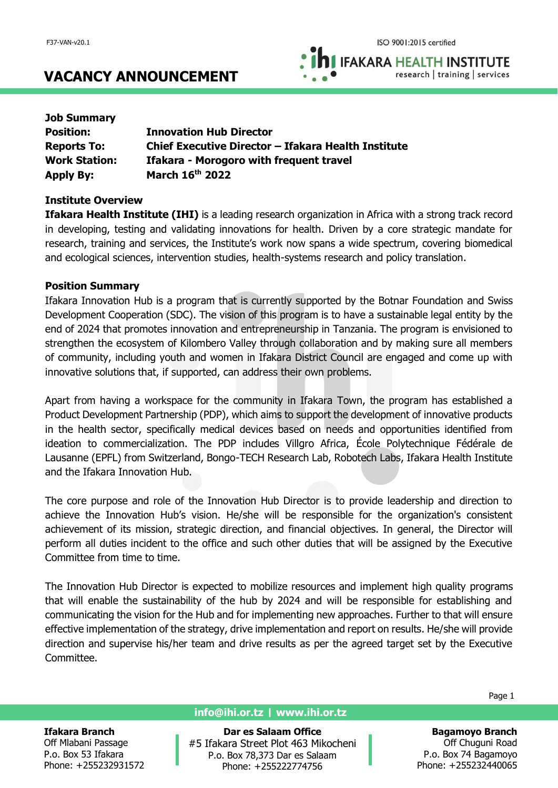**IFAKARA HEALTH INSTITUTE** research | training | services

# **VACANCY ANNOUNCEMENT**

| <b>Job Summary</b>   |                                                     |
|----------------------|-----------------------------------------------------|
| <b>Position:</b>     | <b>Innovation Hub Director</b>                      |
| <b>Reports To:</b>   | Chief Executive Director - Ifakara Health Institute |
| <b>Work Station:</b> | <b>Ifakara - Morogoro with frequent travel</b>      |
| <b>Apply By:</b>     | March 16th 2022                                     |

## **Institute Overview**

**Ifakara Health Institute (IHI)** is a leading research organization in Africa with a strong track record in developing, testing and validating innovations for health. Driven by a core strategic mandate for research, training and services, the Institute's work now spans a wide spectrum, covering biomedical and ecological sciences, intervention studies, health-systems research and policy translation.

## **Position Summary**

Ifakara Innovation Hub is a program that is currently supported by the Botnar Foundation and Swiss Development Cooperation (SDC). The vision of this program is to have a sustainable legal entity by the end of 2024 that promotes innovation and entrepreneurship in Tanzania. The program is envisioned to strengthen the ecosystem of Kilombero Valley through collaboration and by making sure all members of community, including youth and women in Ifakara District Council are engaged and come up with innovative solutions that, if supported, can address their own problems.

Apart from having a workspace for the community in Ifakara Town, the program has established a Product Development Partnership (PDP), which aims to support the development of innovative products in the health sector, specifically medical devices based on needs and opportunities identified from ideation to commercialization. The PDP includes Villgro Africa, École Polytechnique Fédérale de Lausanne (EPFL) from Switzerland, Bongo-TECH Research Lab, Robotech Labs, Ifakara Health Institute and the Ifakara Innovation Hub.

The core purpose and role of the Innovation Hub Director is to provide leadership and direction to achieve the Innovation Hub's vision. He/she will be responsible for the organization's consistent achievement of its mission, strategic direction, and financial objectives. In general, the Director will perform all duties incident to the office and such other duties that will be assigned by the Executive Committee from time to time.

The Innovation Hub Director is expected to mobilize resources and implement high quality programs that will enable the sustainability of the hub by 2024 and will be responsible for establishing and communicating the vision for the Hub and for implementing new approaches. Further to that will ensure effective implementation of the strategy, drive implementation and report on results. He/she will provide direction and supervise his/her team and drive results as per the agreed target set by the Executive Committee.

Page 1

#### **Ifakara Branch**

Off Mlabani Passage P.o. Box 53 Ifakara Phone: +255232931572

## **info@ihi.or.tz | www.ihi.or.tz**

**Dar es Salaam Office** #5 Ifakara Street Plot 463 Mikocheni P.o. Box 78,373 Dar es Salaam Phone: +255222774756

**Bagamoyo Branch** Off Chuguni Road P.o. Box 74 Bagamoyo Phone: +255232440065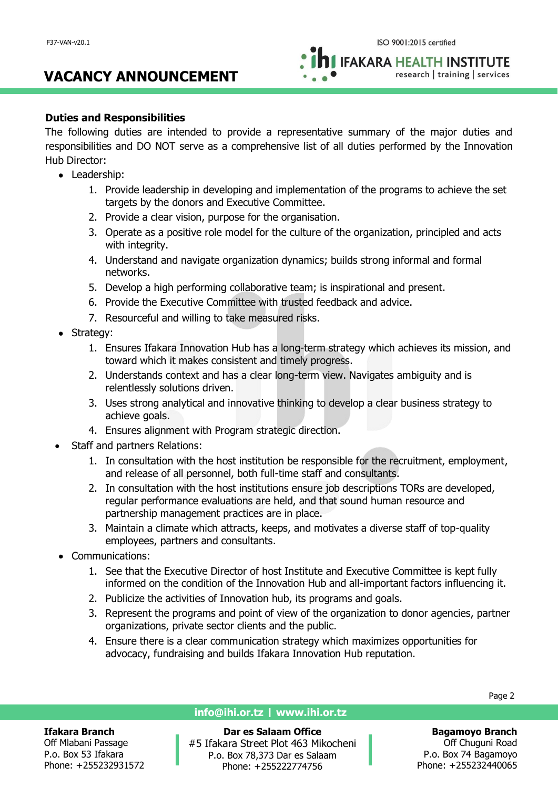# **VACANCY ANNOUNCEMENT**

**IFAKARA HEALTH INSTITUTE** research | training | services

# **Duties and Responsibilities**

The following duties are intended to provide a representative summary of the major duties and responsibilities and DO NOT serve as a comprehensive list of all duties performed by the Innovation Hub Director:

- Leadership:
	- 1. Provide leadership in developing and implementation of the programs to achieve the set targets by the donors and Executive Committee.
	- 2. Provide a clear vision, purpose for the organisation.
	- 3. Operate as a positive role model for the culture of the organization, principled and acts with integrity.
	- 4. Understand and navigate organization dynamics; builds strong informal and formal networks.
	- 5. Develop a high performing collaborative team; is inspirational and present.
	- 6. Provide the Executive Committee with trusted feedback and advice.
	- 7. Resourceful and willing to take measured risks.
- Strategy:
	- 1. Ensures Ifakara Innovation Hub has a long-term strategy which achieves its mission, and toward which it makes consistent and timely progress.
	- 2. Understands context and has a clear long-term view. Navigates ambiguity and is relentlessly solutions driven.
	- 3. Uses strong analytical and innovative thinking to develop a clear business strategy to achieve goals.
	- 4. Ensures alignment with Program strategic direction.
- Staff and partners Relations:
	- 1. In consultation with the host institution be responsible for the recruitment, employment, and release of all personnel, both full-time staff and consultants.
	- 2. In consultation with the host institutions ensure job descriptions TORs are developed, regular performance evaluations are held, and that sound human resource and partnership management practices are in place.
	- 3. Maintain a climate which attracts, keeps, and motivates a diverse staff of top-quality employees, partners and consultants.
- Communications:
	- 1. See that the Executive Director of host Institute and Executive Committee is kept fully informed on the condition of the Innovation Hub and all-important factors influencing it.
	- 2. Publicize the activities of Innovation hub, its programs and goals.
	- 3. Represent the programs and point of view of the organization to donor agencies, partner organizations, private sector clients and the public.
	- 4. Ensure there is a clear communication strategy which maximizes opportunities for advocacy, fundraising and builds Ifakara Innovation Hub reputation.

## **Ifakara Branch**

Off Mlabani Passage P.o. Box 53 Ifakara Phone: +255232931572

## **info@ihi.or.tz | www.ihi.or.tz**

**Dar es Salaam Office** #5 Ifakara Street Plot 463 Mikocheni P.o. Box 78,373 Dar es Salaam Phone: +255222774756

Page 2

# **Bagamoyo Branch** Off Chuguni Road

P.o. Box 74 Bagamoyo Phone: +255232440065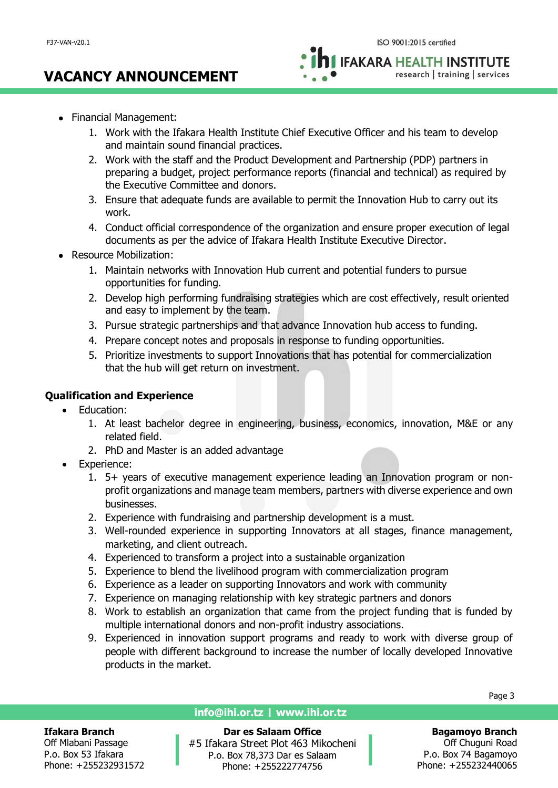# **VACANCY ANNOUNCEMENT**

**IFAKARA HEALTH INSTITUTE** research | training | services

- Financial Management:
	- 1. Work with the Ifakara Health Institute Chief Executive Officer and his team to develop and maintain sound financial practices.
	- 2. Work with the staff and the Product Development and Partnership (PDP) partners in preparing a budget, project performance reports (financial and technical) as required by the Executive Committee and donors.
	- 3. Ensure that adequate funds are available to permit the Innovation Hub to carry out its work.
	- 4. Conduct official correspondence of the organization and ensure proper execution of legal documents as per the advice of Ifakara Health Institute Executive Director.
- Resource Mobilization:
	- 1. Maintain networks with Innovation Hub current and potential funders to pursue opportunities for funding.
	- 2. Develop high performing fundraising strategies which are cost effectively, result oriented and easy to implement by the team.
	- 3. Pursue strategic partnerships and that advance Innovation hub access to funding.
	- 4. Prepare concept notes and proposals in response to funding opportunities.
	- 5. Prioritize investments to support Innovations that has potential for commercialization that the hub will get return on investment.

# **Qualification and Experience**

- Education:
	- 1. At least bachelor degree in engineering, business, economics, innovation, M&E or any related field.
	- 2. PhD and Master is an added advantage
- Experience:
	- 1. 5+ years of executive management experience leading an Innovation program or nonprofit organizations and manage team members, partners with diverse experience and own businesses.
	- 2. Experience with fundraising and partnership development is a must.
	- 3. Well-rounded experience in supporting Innovators at all stages, finance management, marketing, and client outreach.
	- 4. Experienced to transform a project into a sustainable organization
	- 5. Experience to blend the livelihood program with commercialization program
	- 6. Experience as a leader on supporting Innovators and work with community
	- 7. Experience on managing relationship with key strategic partners and donors
	- 8. Work to establish an organization that came from the project funding that is funded by multiple international donors and non-profit industry associations.
	- 9. Experienced in innovation support programs and ready to work with diverse group of people with different background to increase the number of locally developed Innovative products in the market.

#### **Ifakara Branch**

Off Mlabani Passage P.o. Box 53 Ifakara Phone: +255232931572

#### **info@ihi.or.tz | www.ihi.or.tz**

**Dar es Salaam Office** #5 Ifakara Street Plot 463 Mikocheni P.o. Box 78,373 Dar es Salaam Phone: +255222774756

Page 3

## **Bagamoyo Branch**

Off Chuguni Road P.o. Box 74 Bagamoyo Phone: +255232440065